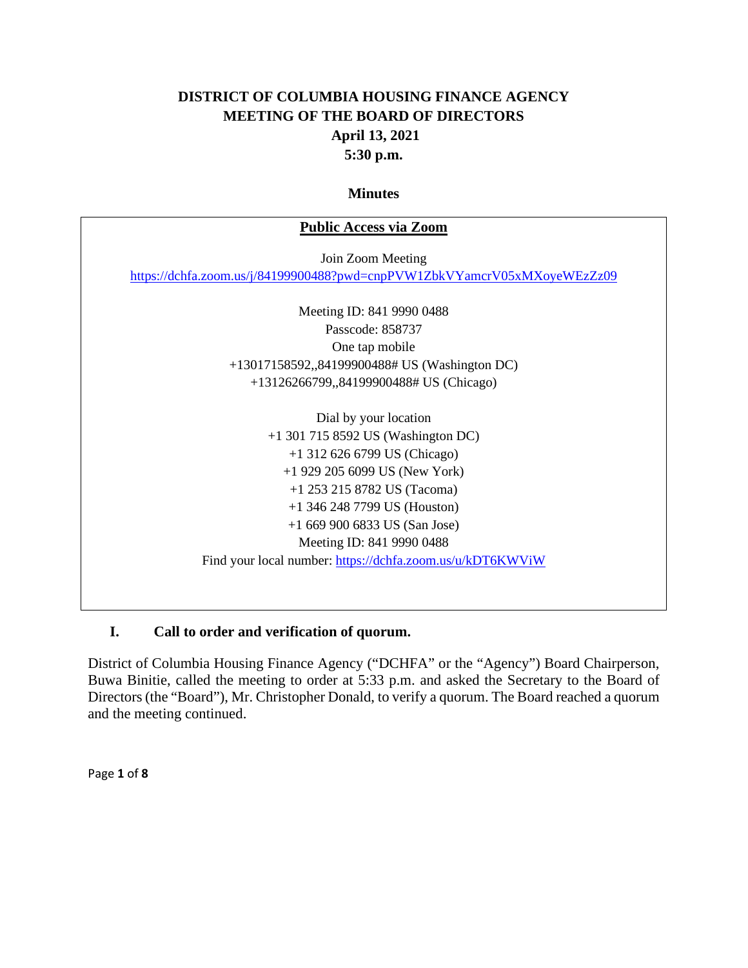## **DISTRICT OF COLUMBIA HOUSING FINANCE AGENCY MEETING OF THE BOARD OF DIRECTORS April 13, 2021 5:30 p.m.**

#### **Minutes**

# **Public Access via Zoom** Join Zoom Meeting <https://dchfa.zoom.us/j/84199900488?pwd=cnpPVW1ZbkVYamcrV05xMXoyeWEzZz09> Meeting ID: 841 9990 0488 Passcode: 858737 One tap mobile +13017158592,,84199900488# US (Washington DC) +13126266799,,84199900488# US (Chicago) Dial by your location +1 301 715 8592 US (Washington DC) +1 312 626 6799 US (Chicago) +1 929 205 6099 US (New York) +1 253 215 8782 US (Tacoma) +1 346 248 7799 US (Houston) +1 669 900 6833 US (San Jose) Meeting ID: 841 9990 0488 Find your local number:<https://dchfa.zoom.us/u/kDT6KWViW>

### **I. Call to order and verification of quorum.**

District of Columbia Housing Finance Agency ("DCHFA" or the "Agency") Board Chairperson, Buwa Binitie, called the meeting to order at 5:33 p.m. and asked the Secretary to the Board of Directors (the "Board"), Mr. Christopher Donald, to verify a quorum. The Board reached a quorum and the meeting continued.

Page **1** of **8**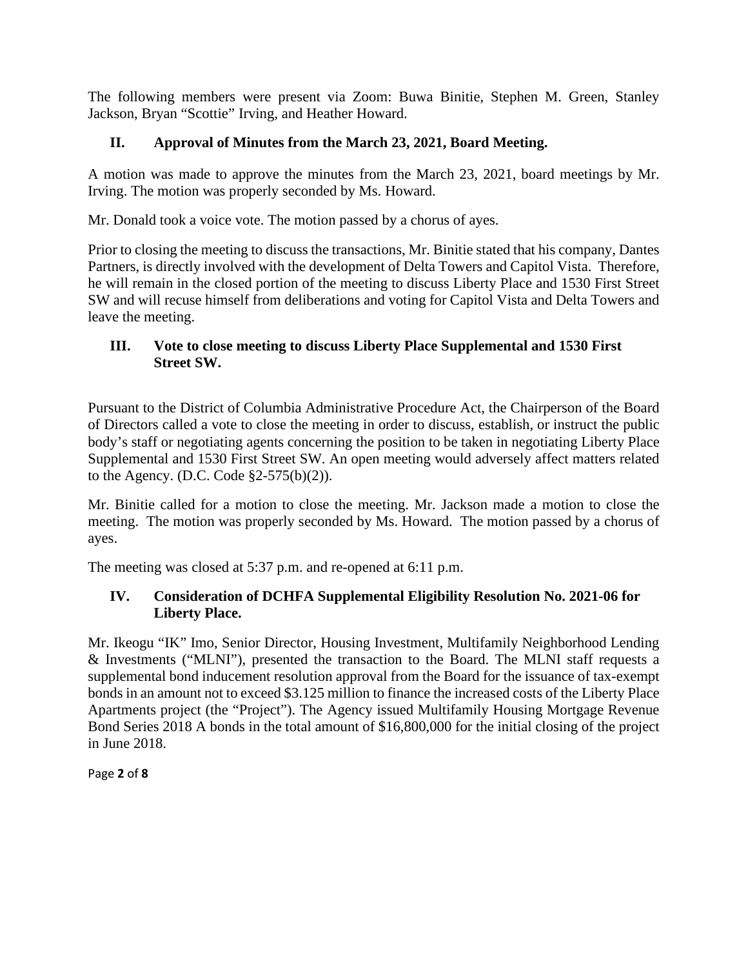The following members were present via Zoom: Buwa Binitie, Stephen M. Green, Stanley Jackson, Bryan "Scottie" Irving, and Heather Howard.

## **II. Approval of Minutes from the March 23, 2021, Board Meeting.**

A motion was made to approve the minutes from the March 23, 2021, board meetings by Mr. Irving. The motion was properly seconded by Ms. Howard.

Mr. Donald took a voice vote. The motion passed by a chorus of ayes.

Prior to closing the meeting to discuss the transactions, Mr. Binitie stated that his company, Dantes Partners, is directly involved with the development of Delta Towers and Capitol Vista. Therefore, he will remain in the closed portion of the meeting to discuss Liberty Place and 1530 First Street SW and will recuse himself from deliberations and voting for Capitol Vista and Delta Towers and leave the meeting.

### **III. Vote to close meeting to discuss Liberty Place Supplemental and 1530 First Street SW.**

Pursuant to the District of Columbia Administrative Procedure Act, the Chairperson of the Board of Directors called a vote to close the meeting in order to discuss, establish, or instruct the public body's staff or negotiating agents concerning the position to be taken in negotiating Liberty Place Supplemental and 1530 First Street SW. An open meeting would adversely affect matters related to the Agency. (D.C. Code §2-575(b)(2)).

Mr. Binitie called for a motion to close the meeting. Mr. Jackson made a motion to close the meeting. The motion was properly seconded by Ms. Howard. The motion passed by a chorus of ayes.

The meeting was closed at 5:37 p.m. and re-opened at 6:11 p.m.

## **IV. Consideration of DCHFA Supplemental Eligibility Resolution No. 2021-06 for Liberty Place.**

Mr. Ikeogu "IK" Imo, Senior Director, Housing Investment, Multifamily Neighborhood Lending & Investments ("MLNI"), presented the transaction to the Board. The MLNI staff requests a supplemental bond inducement resolution approval from the Board for the issuance of tax-exempt bonds in an amount not to exceed \$3.125 million to finance the increased costs of the Liberty Place Apartments project (the "Project"). The Agency issued Multifamily Housing Mortgage Revenue Bond Series 2018 A bonds in the total amount of \$16,800,000 for the initial closing of the project in June 2018.

Page **2** of **8**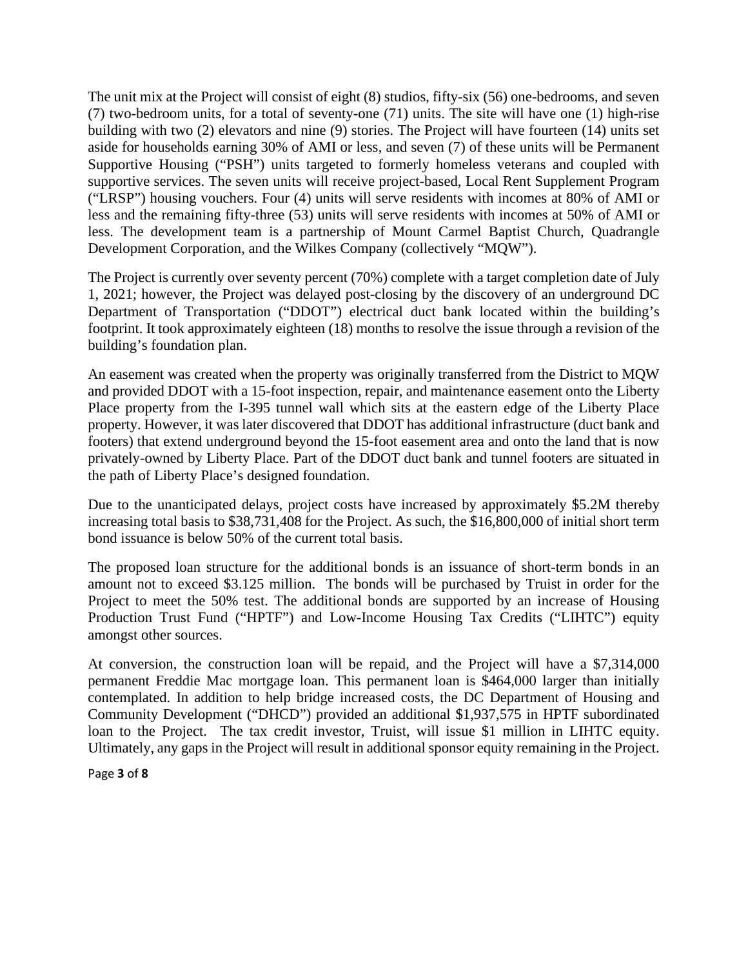The unit mix at the Project will consist of eight (8) studios, fifty-six (56) one-bedrooms, and seven (7) two-bedroom units, for a total of seventy-one (71) units. The site will have one (1) high-rise building with two (2) elevators and nine (9) stories. The Project will have fourteen (14) units set aside for households earning 30% of AMI or less, and seven (7) of these units will be Permanent Supportive Housing ("PSH") units targeted to formerly homeless veterans and coupled with supportive services. The seven units will receive project-based, Local Rent Supplement Program ("LRSP") housing vouchers. Four (4) units will serve residents with incomes at 80% of AMI or less and the remaining fifty-three (53) units will serve residents with incomes at 50% of AMI or less. The development team is a partnership of Mount Carmel Baptist Church, Quadrangle Development Corporation, and the Wilkes Company (collectively "MQW").

The Project is currently over seventy percent (70%) complete with a target completion date of July 1, 2021; however, the Project was delayed post-closing by the discovery of an underground DC Department of Transportation ("DDOT") electrical duct bank located within the building's footprint. It took approximately eighteen (18) months to resolve the issue through a revision of the building's foundation plan.

An easement was created when the property was originally transferred from the District to MQW and provided DDOT with a 15-foot inspection, repair, and maintenance easement onto the Liberty Place property from the I-395 tunnel wall which sits at the eastern edge of the Liberty Place property. However, it was later discovered that DDOT has additional infrastructure (duct bank and footers) that extend underground beyond the 15-foot easement area and onto the land that is now privately-owned by Liberty Place. Part of the DDOT duct bank and tunnel footers are situated in the path of Liberty Place's designed foundation.

Due to the unanticipated delays, project costs have increased by approximately \$5.2M thereby increasing total basis to \$38,731,408 for the Project. As such, the \$16,800,000 of initial short term bond issuance is below 50% of the current total basis.

The proposed loan structure for the additional bonds is an issuance of short-term bonds in an amount not to exceed \$3.125 million. The bonds will be purchased by Truist in order for the Project to meet the 50% test. The additional bonds are supported by an increase of Housing Production Trust Fund ("HPTF") and Low-Income Housing Tax Credits ("LIHTC") equity amongst other sources.

At conversion, the construction loan will be repaid, and the Project will have a \$7,314,000 permanent Freddie Mac mortgage loan. This permanent loan is \$464,000 larger than initially contemplated. In addition to help bridge increased costs, the DC Department of Housing and Community Development ("DHCD") provided an additional \$1,937,575 in HPTF subordinated loan to the Project. The tax credit investor, Truist, will issue \$1 million in LIHTC equity. Ultimately, any gaps in the Project will result in additional sponsor equity remaining in the Project.

Page **3** of **8**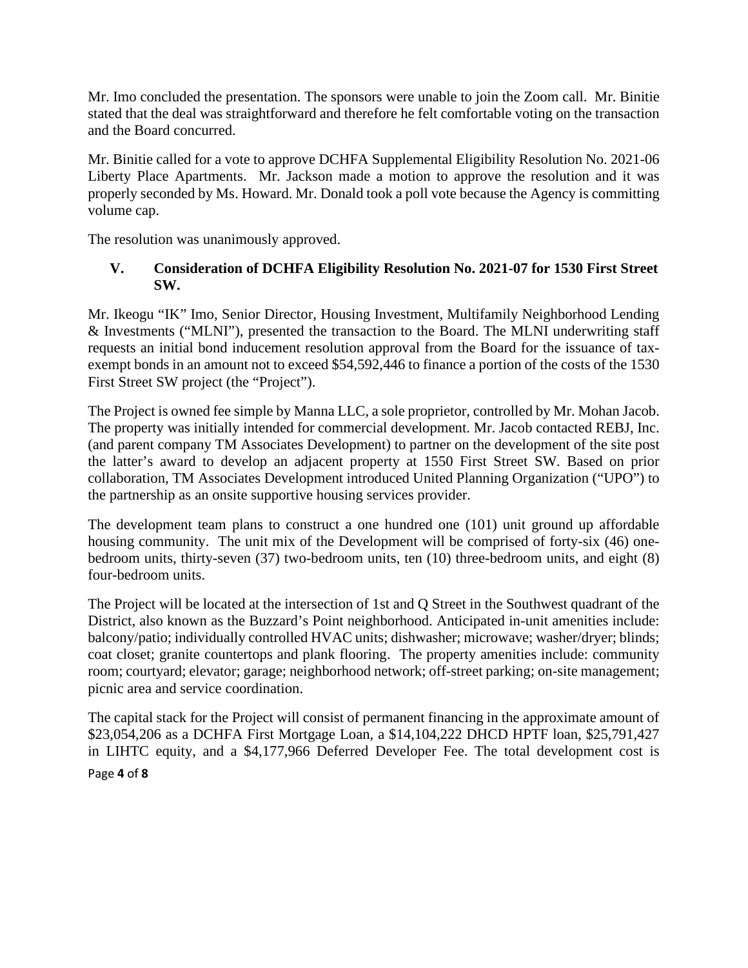Mr. Imo concluded the presentation. The sponsors were unable to join the Zoom call. Mr. Binitie stated that the deal was straightforward and therefore he felt comfortable voting on the transaction and the Board concurred.

Mr. Binitie called for a vote to approve DCHFA Supplemental Eligibility Resolution No. 2021-06 Liberty Place Apartments. Mr. Jackson made a motion to approve the resolution and it was properly seconded by Ms. Howard. Mr. Donald took a poll vote because the Agency is committing volume cap.

The resolution was unanimously approved.

### **V. Consideration of DCHFA Eligibility Resolution No. 2021-07 for 1530 First Street SW.**

Mr. Ikeogu "IK" Imo, Senior Director, Housing Investment, Multifamily Neighborhood Lending & Investments ("MLNI"), presented the transaction to the Board. The MLNI underwriting staff requests an initial bond inducement resolution approval from the Board for the issuance of taxexempt bonds in an amount not to exceed \$54,592,446 to finance a portion of the costs of the 1530 First Street SW project (the "Project").

The Project is owned fee simple by Manna LLC, a sole proprietor, controlled by Mr. Mohan Jacob. The property was initially intended for commercial development. Mr. Jacob contacted REBJ, Inc. (and parent company TM Associates Development) to partner on the development of the site post the latter's award to develop an adjacent property at 1550 First Street SW. Based on prior collaboration, TM Associates Development introduced United Planning Organization ("UPO") to the partnership as an onsite supportive housing services provider.

The development team plans to construct a one hundred one (101) unit ground up affordable housing community. The unit mix of the Development will be comprised of forty-six (46) onebedroom units, thirty-seven (37) two-bedroom units, ten (10) three-bedroom units, and eight (8) four-bedroom units.

The Project will be located at the intersection of 1st and Q Street in the Southwest quadrant of the District, also known as the Buzzard's Point neighborhood. Anticipated in-unit amenities include: balcony/patio; individually controlled HVAC units; dishwasher; microwave; washer/dryer; blinds; coat closet; granite countertops and plank flooring. The property amenities include: community room; courtyard; elevator; garage; neighborhood network; off-street parking; on-site management; picnic area and service coordination.

Page **4** of **8** The capital stack for the Project will consist of permanent financing in the approximate amount of \$23,054,206 as a DCHFA First Mortgage Loan, a \$14,104,222 DHCD HPTF loan, \$25,791,427 in LIHTC equity, and a \$4,177,966 Deferred Developer Fee. The total development cost is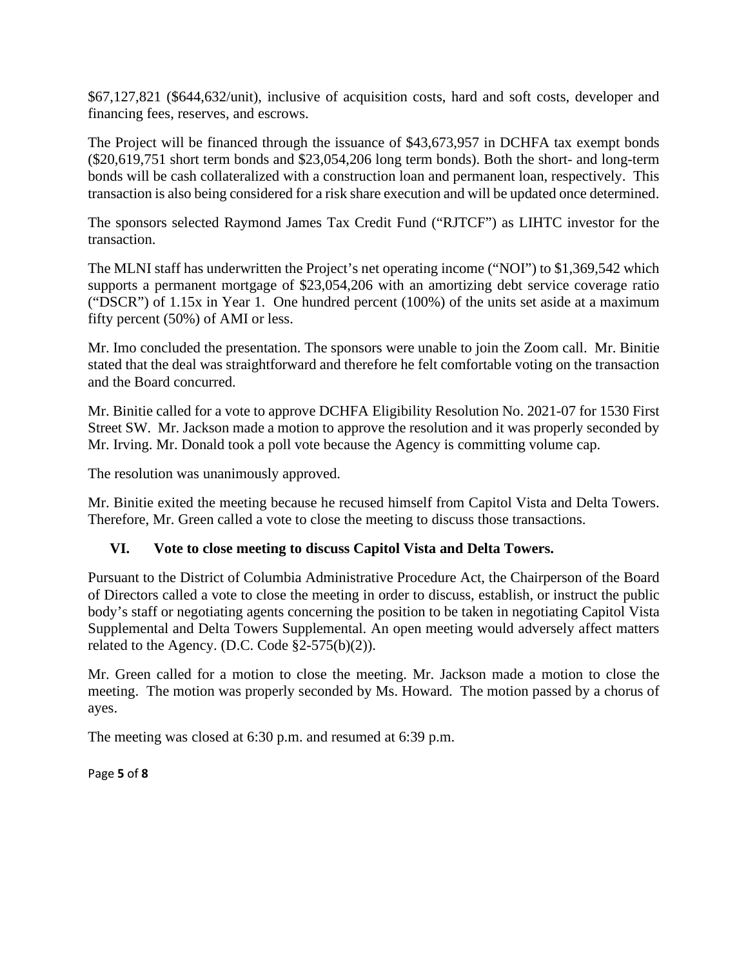\$67,127,821 (\$644,632/unit), inclusive of acquisition costs, hard and soft costs, developer and financing fees, reserves, and escrows.

The Project will be financed through the issuance of \$43,673,957 in DCHFA tax exempt bonds (\$20,619,751 short term bonds and \$23,054,206 long term bonds). Both the short- and long-term bonds will be cash collateralized with a construction loan and permanent loan, respectively. This transaction is also being considered for a risk share execution and will be updated once determined.

The sponsors selected Raymond James Tax Credit Fund ("RJTCF") as LIHTC investor for the transaction.

The MLNI staff has underwritten the Project's net operating income ("NOI") to \$1,369,542 which supports a permanent mortgage of \$23,054,206 with an amortizing debt service coverage ratio ("DSCR") of 1.15x in Year 1. One hundred percent (100%) of the units set aside at a maximum fifty percent (50%) of AMI or less.

Mr. Imo concluded the presentation. The sponsors were unable to join the Zoom call. Mr. Binitie stated that the deal was straightforward and therefore he felt comfortable voting on the transaction and the Board concurred.

Mr. Binitie called for a vote to approve DCHFA Eligibility Resolution No. 2021-07 for 1530 First Street SW. Mr. Jackson made a motion to approve the resolution and it was properly seconded by Mr. Irving. Mr. Donald took a poll vote because the Agency is committing volume cap.

The resolution was unanimously approved.

Mr. Binitie exited the meeting because he recused himself from Capitol Vista and Delta Towers. Therefore, Mr. Green called a vote to close the meeting to discuss those transactions.

### **VI. Vote to close meeting to discuss Capitol Vista and Delta Towers.**

Pursuant to the District of Columbia Administrative Procedure Act, the Chairperson of the Board of Directors called a vote to close the meeting in order to discuss, establish, or instruct the public body's staff or negotiating agents concerning the position to be taken in negotiating Capitol Vista Supplemental and Delta Towers Supplemental. An open meeting would adversely affect matters related to the Agency. (D.C. Code  $\S2-575(b)(2)$ ).

Mr. Green called for a motion to close the meeting. Mr. Jackson made a motion to close the meeting. The motion was properly seconded by Ms. Howard. The motion passed by a chorus of ayes.

The meeting was closed at 6:30 p.m. and resumed at 6:39 p.m.

Page **5** of **8**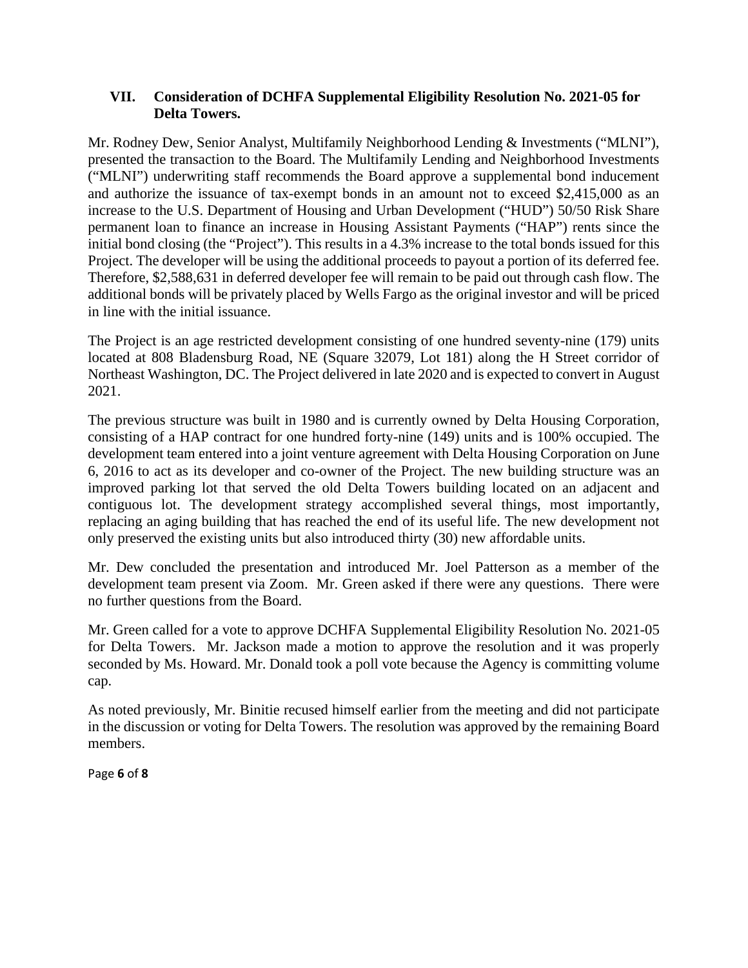### **VII. Consideration of DCHFA Supplemental Eligibility Resolution No. 2021-05 for Delta Towers.**

Mr. Rodney Dew, Senior Analyst, Multifamily Neighborhood Lending & Investments ("MLNI"), presented the transaction to the Board. The Multifamily Lending and Neighborhood Investments ("MLNI") underwriting staff recommends the Board approve a supplemental bond inducement and authorize the issuance of tax-exempt bonds in an amount not to exceed \$2,415,000 as an increase to the U.S. Department of Housing and Urban Development ("HUD") 50/50 Risk Share permanent loan to finance an increase in Housing Assistant Payments ("HAP") rents since the initial bond closing (the "Project"). This results in a 4.3% increase to the total bonds issued for this Project. The developer will be using the additional proceeds to payout a portion of its deferred fee. Therefore, \$2,588,631 in deferred developer fee will remain to be paid out through cash flow. The additional bonds will be privately placed by Wells Fargo as the original investor and will be priced in line with the initial issuance.

The Project is an age restricted development consisting of one hundred seventy-nine (179) units located at 808 Bladensburg Road, NE (Square 32079, Lot 181) along the H Street corridor of Northeast Washington, DC. The Project delivered in late 2020 and is expected to convert in August 2021.

The previous structure was built in 1980 and is currently owned by Delta Housing Corporation, consisting of a HAP contract for one hundred forty-nine (149) units and is 100% occupied. The development team entered into a joint venture agreement with Delta Housing Corporation on June 6, 2016 to act as its developer and co-owner of the Project. The new building structure was an improved parking lot that served the old Delta Towers building located on an adjacent and contiguous lot. The development strategy accomplished several things, most importantly, replacing an aging building that has reached the end of its useful life. The new development not only preserved the existing units but also introduced thirty (30) new affordable units.

Mr. Dew concluded the presentation and introduced Mr. Joel Patterson as a member of the development team present via Zoom. Mr. Green asked if there were any questions. There were no further questions from the Board.

Mr. Green called for a vote to approve DCHFA Supplemental Eligibility Resolution No. 2021-05 for Delta Towers. Mr. Jackson made a motion to approve the resolution and it was properly seconded by Ms. Howard. Mr. Donald took a poll vote because the Agency is committing volume cap.

As noted previously, Mr. Binitie recused himself earlier from the meeting and did not participate in the discussion or voting for Delta Towers. The resolution was approved by the remaining Board members.

Page **6** of **8**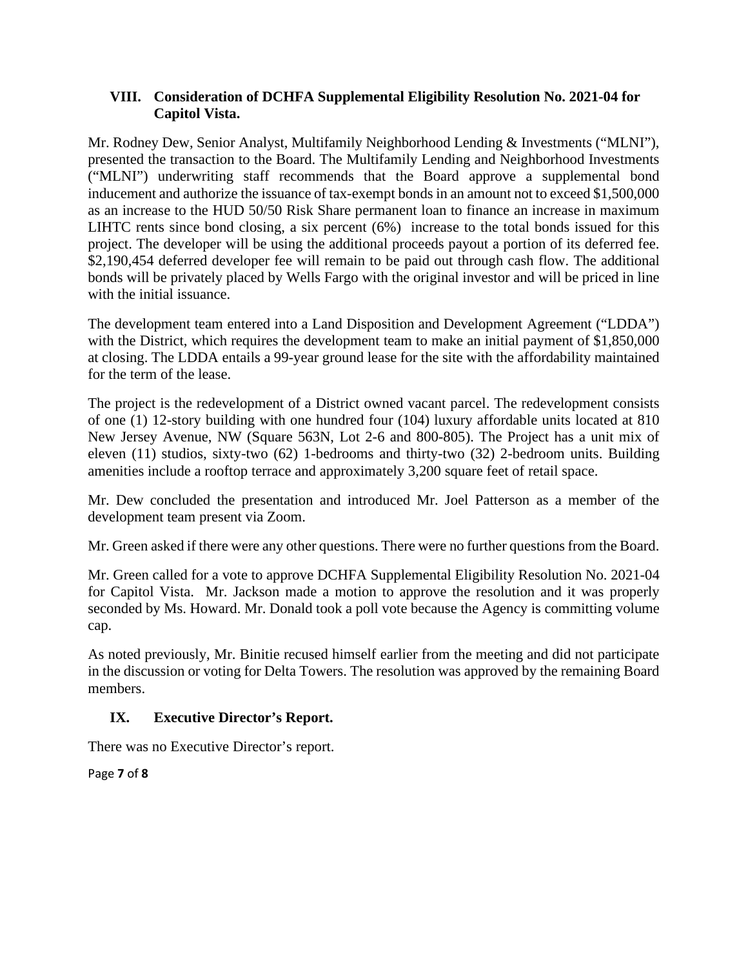### **VIII. Consideration of DCHFA Supplemental Eligibility Resolution No. 2021-04 for Capitol Vista.**

Mr. Rodney Dew, Senior Analyst, Multifamily Neighborhood Lending & Investments ("MLNI"), presented the transaction to the Board. The Multifamily Lending and Neighborhood Investments ("MLNI") underwriting staff recommends that the Board approve a supplemental bond inducement and authorize the issuance of tax-exempt bonds in an amount not to exceed \$1,500,000 as an increase to the HUD 50/50 Risk Share permanent loan to finance an increase in maximum LIHTC rents since bond closing, a six percent (6%) increase to the total bonds issued for this project. The developer will be using the additional proceeds payout a portion of its deferred fee. \$2,190,454 deferred developer fee will remain to be paid out through cash flow. The additional bonds will be privately placed by Wells Fargo with the original investor and will be priced in line with the initial issuance.

The development team entered into a Land Disposition and Development Agreement ("LDDA") with the District, which requires the development team to make an initial payment of \$1,850,000 at closing. The LDDA entails a 99-year ground lease for the site with the affordability maintained for the term of the lease.

The project is the redevelopment of a District owned vacant parcel. The redevelopment consists of one (1) 12-story building with one hundred four (104) luxury affordable units located at 810 New Jersey Avenue, NW (Square 563N, Lot 2-6 and 800-805). The Project has a unit mix of eleven (11) studios, sixty-two (62) 1-bedrooms and thirty-two (32) 2-bedroom units. Building amenities include a rooftop terrace and approximately 3,200 square feet of retail space.

Mr. Dew concluded the presentation and introduced Mr. Joel Patterson as a member of the development team present via Zoom.

Mr. Green asked if there were any other questions. There were no further questions from the Board.

Mr. Green called for a vote to approve DCHFA Supplemental Eligibility Resolution No. 2021-04 for Capitol Vista. Mr. Jackson made a motion to approve the resolution and it was properly seconded by Ms. Howard. Mr. Donald took a poll vote because the Agency is committing volume cap.

As noted previously, Mr. Binitie recused himself earlier from the meeting and did not participate in the discussion or voting for Delta Towers. The resolution was approved by the remaining Board members.

## **IX. Executive Director's Report.**

There was no Executive Director's report.

Page **7** of **8**